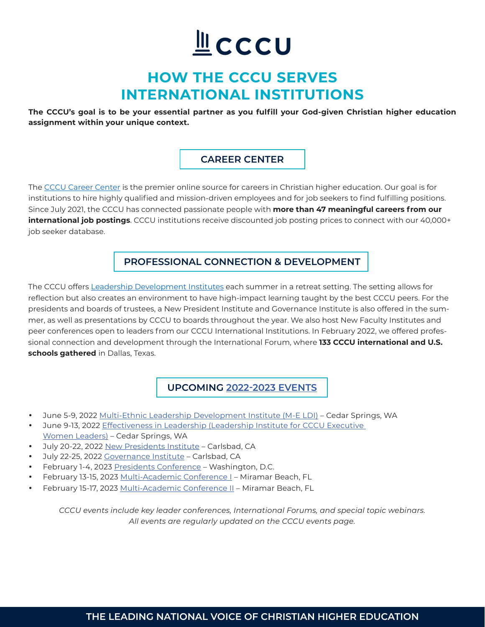# LCCCU

# **HOW THE CCCU SERVES INTERNATIONAL INSTITUTIONS**

**The CCCU's goal is to be your essential partner as you fulfill your God-given Christian higher education assignment within your unique context.**

# **CAREER CENTER**

The [CCCU Career Center](https://www.cccu.org/career-center/) is the premier online source for careers in Christian higher education. Our goal is for institutions to hire highly qualified and mission-driven employees and for job seekers to find fulfilling positions. Since July 2021, the CCCU has connected passionate people with **more than 47 meaningful careers from our international job postings**. CCCU institutions receive discounted job posting prices to connect with our 40,000+ job seeker database.

# **PROFESSIONAL CONNECTION & DEVELOPMENT**

The CCCU offers [Leadership Development Institutes](https://www.cccu.org/programs-services/institutes/) each summer in a retreat setting. The setting allows for reflection but also creates an environment to have high-impact learning taught by the best CCCU peers. For the presidents and boards of trustees, a New President Institute and Governance Institute is also offered in the summer, as well as presentations by CCCU to boards throughout the year. We also host New Faculty Institutes and peer conferences open to leaders from our CCCU International Institutions. In February 2022, we offered professional connection and development through the International Forum, where **133 CCCU international and U.S. schools gathered** in Dallas, Texas.

**UPCOMING [2022-2023 EVENTS](https://www.cccu.org/events/)**

- • June 5-9, 2022 [Multi-Ethnic Leadership Development Institute \(M-E LDI\)](https://www.cccu.org/programs-services/institutes/multi-ethnic-leadership-development-institute/)  Cedar Springs, WA
- June 9-13, 2022 Effectiveness in Leadership (Leadership Institute for CCCU Executive [Women Leaders\)](https://www.cccu.org/programs-services/institutes/executive-women-leaders-ldi/) – Cedar Springs, WA
- • July 20-22, 2022 [New Presidents Institute](https://www.cccu.org/cccu_event/new-presidents-institute-2022/) Carlsbad, CA
- July 22-25, 2022 [Governance Institute](https://www.cccu.org/cccu_event/governance-institute/) Carlsbad, CA
- February 1-4, 2023 [Presidents Conference](https://www.cccu.org/cccu_event/2023-presidents-conference-3/)  Washington, D.C.
- February 13-15, 2023 [Multi-Academic Conference I](https://www.cccu.org/cccu_event/2023-multi-academic-conference-2/) Miramar Beach, FL
- February 15-17, 2023 [Multi-Academic Conference II](https://www.cccu.org/cccu_event/2023-multi-academic-conference-ii-2/)  Miramar Beach, FL

*CCCU events include key leader conferences, International Forums, and special topic webinars. All events are regularly updated on the CCCU events page.*

# **THE LEADING NATIONAL VOICE OF CHRISTIAN HIGHER EDUCATION**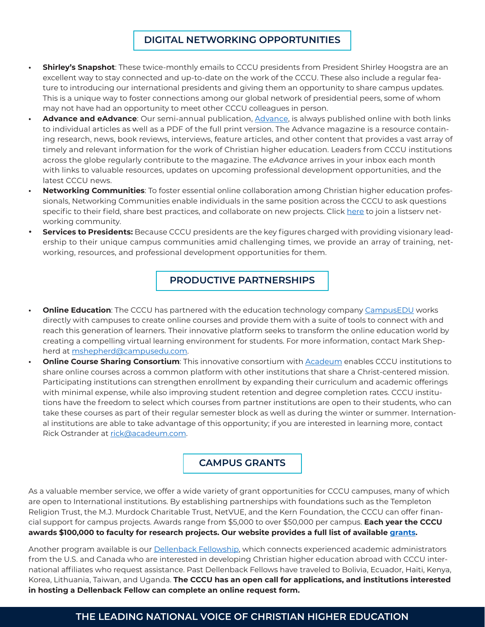## **DIGITAL NETWORKING OPPORTUNITIES**

- **• Shirley's Snapshot**: These twice-monthly emails to CCCU presidents from President Shirley Hoogstra are an excellent way to stay connected and up-to-date on the work of the CCCU. These also include a regular feature to introducing our international presidents and giving them an opportunity to share campus updates. This is a unique way to foster connections among our global network of presidential peers, some of whom may not have had an opportunity to meet other CCCU colleagues in person.
- **• Advance and eAdvance**: Our semi-annual publication, [Advance,](https://www.cccu.org/magazine/) is always published online with both links to individual articles as well as a PDF of the full print version. The Advance magazine is a resource containing research, news, book reviews, interviews, feature articles, and other content that provides a vast array of timely and relevant information for the work of Christian higher education. Leaders from CCCU institutions across the globe regularly contribute to the magazine. The *eAdvance* arrives in your inbox each month with links to valuable resources, updates on upcoming professional development opportunities, and the latest CCCU news.
- **• Networking Communities**: To foster essential online collaboration among Christian higher education professionals, Networking Communities enable individuals in the same position across the CCCU to ask questions specific to their field, share best practices, and collaborate on new projects. Click [here](https://secure.cccu.org/Membr/Membr/Create_Account_no_Sign_In.aspx?returnprev=t&returnurl=%2fMembr%2fMembr%2fAccountPage.aspx) to join a listserv networking community.
- **Services to Presidents:** Because CCCU presidents are the key figures charged with providing visionary leadership to their unique campus communities amid challenging times, we provide an array of training, networking, resources, and professional development opportunities for them.

## **PRODUCTIVE PARTNERSHIPS**

- **Online Education**: The CCCU has partnered with the education technology company [CampusEDU](https://www.campusedu.com/) works directly with campuses to create online courses and provide them with a suite of tools to connect with and reach this generation of learners. Their innovative platform seeks to transform the online education world by creating a compelling virtual learning environment for students. For more information, contact Mark Shepherd at [mshepherd@campusedu.com](mailto:mshepherd@campusedu.com).
- **• Online Course Sharing Consortium**: This innovative consortium with [Acadeum](https://go.acadeum.com/cccu) enables CCCU institutions to share online courses across a common platform with other institutions that share a Christ-centered mission. Participating institutions can strengthen enrollment by expanding their curriculum and academic offerings with minimal expense, while also improving student retention and degree completion rates. CCCU institutions have the freedom to select which courses from partner institutions are open to their students, who can take these courses as part of their regular semester block as well as during the winter or summer. International institutions are able to take advantage of this opportunity; if you are interested in learning more, contact Rick Ostrander at [rick@acadeum.com](mailto:rick@acadeum.com).

#### **CAMPUS GRANTS**

As a valuable member service, we offer a wide variety of grant opportunities for CCCU campuses, many of which are open to International institutions. By establishing partnerships with foundations such as the Templeton Religion Trust, the M.J. Murdock Charitable Trust, NetVUE, and the Kern Foundation, the CCCU can offer financial support for campus projects. Awards range from \$5,000 to over \$50,000 per campus. **Each year the CCCU awards \$100,000 to faculty for research projects. Our website provides a full list of available grants.** 

Another program available is our Dellenback Fellowship, which connects experienced academic administrators from the U.S. and Canada who are interested in developing Christian higher education abroad with CCCU international affiliates who request assistance. Past Dellenback Fellows have traveled to Bolivia, Ecuador, Haiti, Kenya, Korea, Lithuania, Taiwan, and Uganda. **The CCCU has an open call for applications, and institutions interested in hosting a Dellenback Fellow can complete an online request form.** 

#### **THE LEADING NATIONAL VOICE OF CHRISTIAN HIGHER EDUCATION**